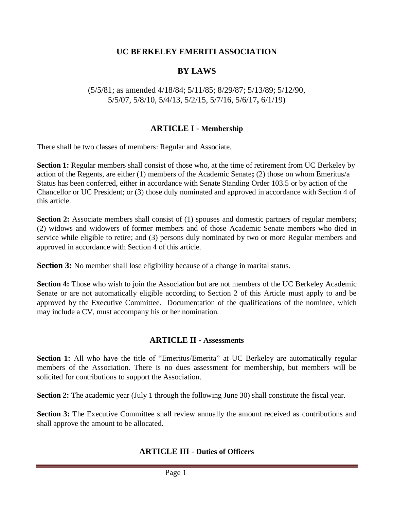### **UC BERKELEY EMERITI ASSOCIATION**

## **BY LAWS**

(5/5/81; as amended 4/18/84; 5/11/85; 8/29/87; 5/13/89; 5/12/90, 5/5/07, 5/8/10, 5/4/13, 5/2/15, 5/7/16, 5/6/17**,** 6/1/19)

### **ARTICLE I - Membership**

There shall be two classes of members: Regular and Associate.

**Section 1:** Regular members shall consist of those who, at the time of retirement from UC Berkeley by action of the Regents, are either (1) members of the Academic Senate**;** (2) those on whom Emeritus/a Status has been conferred, either in accordance with Senate Standing Order 103.5 or by action of the Chancellor or UC President; or (3) those duly nominated and approved in accordance with Section 4 of this article.

**Section 2:** Associate members shall consist of (1) spouses and domestic partners of regular members; (2) widows and widowers of former members and of those Academic Senate members who died in service while eligible to retire; and (3) persons duly nominated by two or more Regular members and approved in accordance with Section 4 of this article.

**Section 3:** No member shall lose eligibility because of a change in marital status.

**Section 4:** Those who wish to join the Association but are not members of the UC Berkeley Academic Senate or are not automatically eligible according to Section 2 of this Article must apply to and be approved by the Executive Committee. Documentation of the qualifications of the nominee, which may include a CV, must accompany his or her nomination.

### **ARTICLE II - Assessments**

**Section 1:** All who have the title of "Emeritus/Emerita" at UC Berkeley are automatically regular members of the Association. There is no dues assessment for membership, but members will be solicited for contributions to support the Association.

**Section 2:** The academic year (July 1 through the following June 30) shall constitute the fiscal year.

**Section 3:** The Executive Committee shall review annually the amount received as contributions and shall approve the amount to be allocated.

#### **ARTICLE III - Duties of Officers**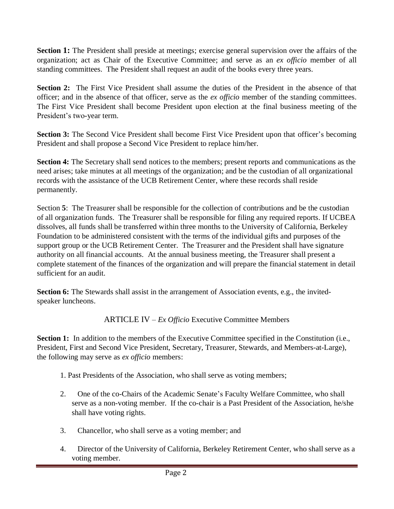**Section 1:** The President shall preside at meetings; exercise general supervision over the affairs of the organization; act as Chair of the Executive Committee; and serve as an *ex officio* member of all standing committees. The President shall request an audit of the books every three years.

**Section 2:** The First Vice President shall assume the duties of the President in the absence of that officer; and in the absence of that officer, serve as the *ex officio* member of the standing committees. The First Vice President shall become President upon election at the final business meeting of the President's two-year term.

**Section 3:** The Second Vice President shall become First Vice President upon that officer's becoming President and shall propose a Second Vice President to replace him/her.

**Section 4:** The Secretary shall send notices to the members; present reports and communications as the need arises; take minutes at all meetings of the organization; and be the custodian of all organizational records with the assistance of the UCB Retirement Center, where these records shall reside permanently.

Section **5**: The Treasurer shall be responsible for the collection of contributions and be the custodian of all organization funds. The Treasurer shall be responsible for filing any required reports. If UCBEA dissolves, all funds shall be transferred within three months to the University of California, Berkeley Foundation to be administered consistent with the terms of the individual gifts and purposes of the support group or the UCB Retirement Center. The Treasurer and the President shall have signature authority on all financial accounts. At the annual business meeting, the Treasurer shall present a complete statement of the finances of the organization and will prepare the financial statement in detail sufficient for an audit.

**Section 6:** The Stewards shall assist in the arrangement of Association events, e.g., the invitedspeaker luncheons.

ARTICLE IV – *Ex Officio* Executive Committee Members

**Section 1:** In addition to the members of the Executive Committee specified in the Constitution (i.e., President, First and Second Vice President, Secretary, Treasurer, Stewards, and Members-at-Large), the following may serve as *ex officio* members:

- 1. Past Presidents of the Association, who shall serve as voting members;
- 2. One of the co-Chairs of the Academic Senate's Faculty Welfare Committee, who shall serve as a non-voting member. If the co-chair is a Past President of the Association, he/she shall have voting rights.
- 3. Chancellor, who shall serve as a voting member; and
- 4. Director of the University of California, Berkeley Retirement Center, who shall serve as a voting member.